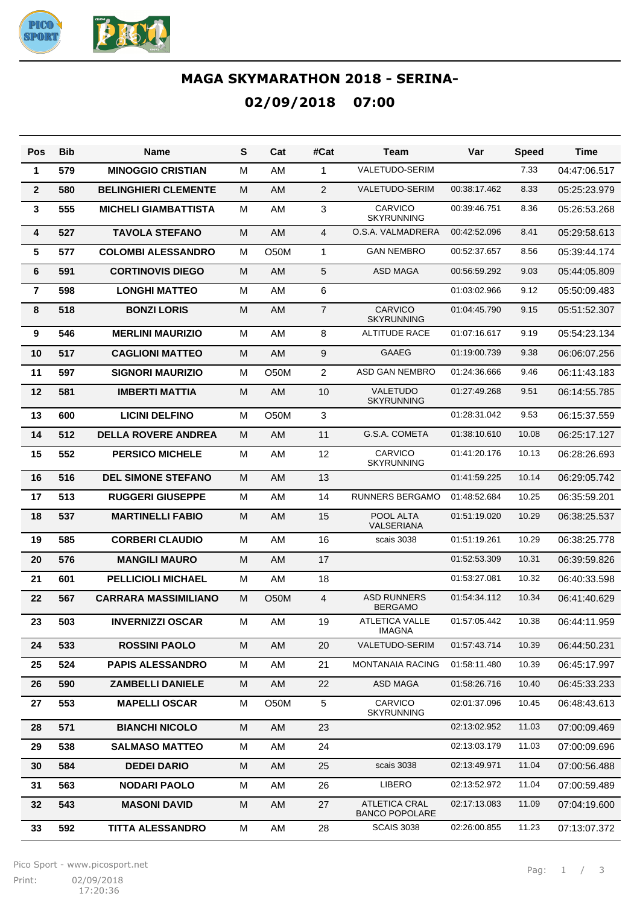

## **MAGA SKYMARATHON 2018 - SERINA-02/09/2018 07:00**

| Pos                     | <b>Bib</b> | Name                        | S | Cat         | #Cat           | Team                                          | Var          | <b>Speed</b> | <b>Time</b>  |
|-------------------------|------------|-----------------------------|---|-------------|----------------|-----------------------------------------------|--------------|--------------|--------------|
| 1                       | 579        | <b>MINOGGIO CRISTIAN</b>    | M | AM          | 1              | VALETUDO-SERIM                                |              | 7.33         | 04:47:06.517 |
| $\overline{2}$          | 580        | <b>BELINGHIERI CLEMENTE</b> | M | AM          | 2              | VALETUDO-SERIM                                | 00:38:17.462 | 8.33         | 05:25:23.979 |
| 3                       | 555        | <b>MICHELI GIAMBATTISTA</b> | M | AM          | 3              | CARVICO<br><b>SKYRUNNING</b>                  | 00:39:46.751 | 8.36         | 05:26:53.268 |
| $\overline{\mathbf{4}}$ | 527        | <b>TAVOLA STEFANO</b>       | M | AM          | $\overline{4}$ | O.S.A. VALMADRERA                             | 00:42:52.096 | 8.41         | 05:29:58.613 |
| 5                       | 577        | <b>COLOMBI ALESSANDRO</b>   | M | O50M        | 1              | <b>GAN NEMBRO</b>                             | 00:52:37.657 | 8.56         | 05:39:44.174 |
| 6                       | 591        | <b>CORTINOVIS DIEGO</b>     | M | <b>AM</b>   | 5              | <b>ASD MAGA</b>                               | 00:56:59.292 | 9.03         | 05:44:05.809 |
| $\overline{7}$          | 598        | <b>LONGHI MATTEO</b>        | M | AM          | 6              |                                               | 01:03:02.966 | 9.12         | 05:50:09.483 |
| 8                       | 518        | <b>BONZI LORIS</b>          | M | <b>AM</b>   | $\overline{7}$ | CARVICO<br><b>SKYRUNNING</b>                  | 01:04:45.790 | 9.15         | 05:51:52.307 |
| 9                       | 546        | <b>MERLINI MAURIZIO</b>     | M | AM          | 8              | <b>ALTITUDE RACE</b>                          | 01:07:16.617 | 9.19         | 05:54:23.134 |
| 10                      | 517        | <b>CAGLIONI MATTEO</b>      | M | AM          | 9              | <b>GAAEG</b>                                  | 01:19:00.739 | 9.38         | 06:06:07.256 |
| 11                      | 597        | <b>SIGNORI MAURIZIO</b>     | M | O50M        | $\overline{2}$ | ASD GAN NEMBRO                                | 01:24:36.666 | 9.46         | 06:11:43.183 |
| 12                      | 581        | <b>IMBERTI MATTIA</b>       | M | AM          | 10             | VALETUDO<br><b>SKYRUNNING</b>                 | 01:27:49.268 | 9.51         | 06:14:55.785 |
| 13                      | 600        | <b>LICINI DELFINO</b>       | M | <b>O50M</b> | 3              |                                               | 01:28:31.042 | 9.53         | 06:15:37.559 |
| 14                      | 512        | <b>DELLA ROVERE ANDREA</b>  | M | AM          | 11             | G.S.A. COMETA                                 | 01:38:10.610 | 10.08        | 06:25:17.127 |
| 15                      | 552        | <b>PERSICO MICHELE</b>      | M | AM          | 12             | CARVICO<br><b>SKYRUNNING</b>                  | 01:41:20.176 | 10.13        | 06:28:26.693 |
| 16                      | 516        | <b>DEL SIMONE STEFANO</b>   | M | AM          | 13             |                                               | 01:41:59.225 | 10.14        | 06:29:05.742 |
| 17                      | 513        | <b>RUGGERI GIUSEPPE</b>     | M | AM          | 14             | <b>RUNNERS BERGAMO</b>                        | 01:48:52.684 | 10.25        | 06:35:59.201 |
| 18                      | 537        | <b>MARTINELLI FABIO</b>     | M | <b>AM</b>   | 15             | POOL ALTA<br>VALSERIANA                       | 01:51:19.020 | 10.29        | 06:38:25.537 |
| 19                      | 585        | <b>CORBERI CLAUDIO</b>      | M | AM          | 16             | scais 3038                                    | 01:51:19.261 | 10.29        | 06:38:25.778 |
| 20                      | 576        | <b>MANGILI MAURO</b>        | M | AM          | 17             |                                               | 01:52:53.309 | 10.31        | 06:39:59.826 |
| 21                      | 601        | <b>PELLICIOLI MICHAEL</b>   | M | AM          | 18             |                                               | 01:53:27.081 | 10.32        | 06:40:33.598 |
| 22                      | 567        | <b>CARRARA MASSIMILIANO</b> | M | O50M        | 4              | <b>ASD RUNNERS</b><br><b>BERGAMO</b>          | 01:54:34.112 | 10.34        | 06:41:40.629 |
| 23                      | 503        | <b>INVERNIZZI OSCAR</b>     | М | AM          | 19             | <b>ATLETICA VALLE</b><br><b>IMAGNA</b>        | 01:57:05.442 | 10.38        | 06:44:11.959 |
| 24                      | 533        | <b>ROSSINI PAOLO</b>        | M | AM          | 20             | VALETUDO-SERIM                                | 01:57:43.714 | 10.39        | 06:44:50.231 |
| 25                      | 524        | <b>PAPIS ALESSANDRO</b>     | M | AM          | 21             | <b>MONTANAIA RACING</b>                       | 01:58:11.480 | 10.39        | 06:45:17.997 |
| 26                      | 590        | <b>ZAMBELLI DANIELE</b>     | M | AM          | 22             | ASD MAGA                                      | 01:58:26.716 | 10.40        | 06:45:33.233 |
| 27                      | 553        | <b>MAPELLI OSCAR</b>        | м | O50M        | 5              | CARVICO<br><b>SKYRUNNING</b>                  | 02:01:37.096 | 10.45        | 06:48:43.613 |
| 28                      | 571        | <b>BIANCHI NICOLO</b>       | M | AM          | 23             |                                               | 02:13:02.952 | 11.03        | 07:00:09.469 |
| 29                      | 538        | <b>SALMASO MATTEO</b>       | M | AM          | 24             |                                               | 02:13:03.179 | 11.03        | 07:00:09.696 |
| 30                      | 584        | <b>DEDEI DARIO</b>          | M | AM          | 25             | scais 3038                                    | 02:13:49.971 | 11.04        | 07:00:56.488 |
| 31                      | 563        | <b>NODARI PAOLO</b>         | M | AM          | 26             | LIBERO                                        | 02:13:52.972 | 11.04        | 07:00:59.489 |
| 32                      | 543        | <b>MASONI DAVID</b>         | M | AM          | 27             | <b>ATLETICA CRAL</b><br><b>BANCO POPOLARE</b> | 02:17:13.083 | 11.09        | 07:04:19.600 |
| 33                      | 592        | <b>TITTA ALESSANDRO</b>     | M | AM          | 28             | <b>SCAIS 3038</b>                             | 02:26:00.855 | 11.23        | 07:13:07.372 |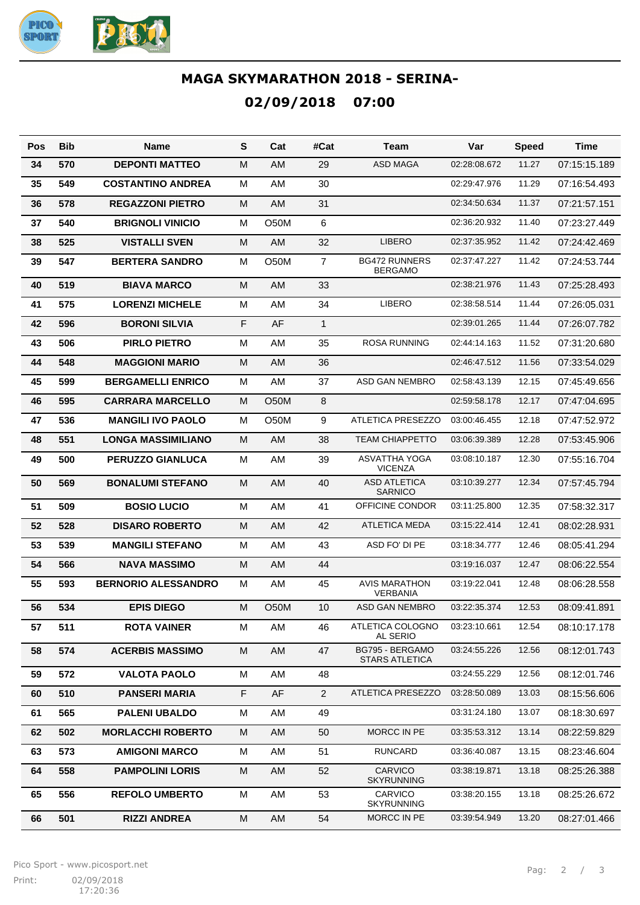

## **MAGA SKYMARATHON 2018 - SERINA-02/09/2018 07:00**

| Pos | <b>Bib</b> | Name                       | S | Cat         | #Cat           | Team                                     | Var          | <b>Speed</b> | Time         |
|-----|------------|----------------------------|---|-------------|----------------|------------------------------------------|--------------|--------------|--------------|
| 34  | 570        | <b>DEPONTI MATTEO</b>      | M | AM          | 29             | <b>ASD MAGA</b>                          | 02:28:08.672 | 11.27        | 07:15:15.189 |
| 35  | 549        | <b>COSTANTINO ANDREA</b>   | M | AM          | 30             |                                          | 02:29:47.976 | 11.29        | 07:16:54.493 |
| 36  | 578        | <b>REGAZZONI PIETRO</b>    | M | AM          | 31             |                                          | 02:34:50.634 | 11.37        | 07:21:57.151 |
| 37  | 540        | <b>BRIGNOLI VINICIO</b>    | M | O50M        | 6              |                                          | 02:36:20.932 | 11.40        | 07:23:27.449 |
| 38  | 525        | <b>VISTALLI SVEN</b>       | M | AM          | 32             | <b>LIBERO</b>                            | 02:37:35.952 | 11.42        | 07:24:42.469 |
| 39  | 547        | <b>BERTERA SANDRO</b>      | M | O50M        | $\overline{7}$ | <b>BG472 RUNNERS</b><br><b>BERGAMO</b>   | 02:37:47.227 | 11.42        | 07:24:53.744 |
| 40  | 519        | <b>BIAVA MARCO</b>         | M | AM          | 33             |                                          | 02:38:21.976 | 11.43        | 07:25:28.493 |
| 41  | 575        | <b>LORENZI MICHELE</b>     | M | AM          | 34             | <b>LIBERO</b>                            | 02:38:58.514 | 11.44        | 07:26:05.031 |
| 42  | 596        | <b>BORONI SILVIA</b>       | F | AF          | $\mathbf{1}$   |                                          | 02:39:01.265 | 11.44        | 07:26:07.782 |
| 43  | 506        | <b>PIRLO PIETRO</b>        | M | AM          | 35             | <b>ROSA RUNNING</b>                      | 02:44:14.163 | 11.52        | 07:31:20.680 |
| 44  | 548        | <b>MAGGIONI MARIO</b>      | M | AM          | 36             |                                          | 02:46:47.512 | 11.56        | 07:33:54.029 |
| 45  | 599        | <b>BERGAMELLI ENRICO</b>   | M | AM          | 37             | ASD GAN NEMBRO                           | 02:58:43.139 | 12.15        | 07:45:49.656 |
| 46  | 595        | <b>CARRARA MARCELLO</b>    | M | <b>O50M</b> | 8              |                                          | 02:59:58.178 | 12.17        | 07:47:04.695 |
| 47  | 536        | <b>MANGILI IVO PAOLO</b>   | M | <b>O50M</b> | 9              | <b>ATLETICA PRESEZZO</b>                 | 03:00:46.455 | 12.18        | 07:47:52.972 |
| 48  | 551        | <b>LONGA MASSIMILIANO</b>  | M | AM          | 38             | <b>TEAM CHIAPPETTO</b>                   | 03:06:39.389 | 12.28        | 07:53:45.906 |
| 49  | 500        | <b>PERUZZO GIANLUCA</b>    | M | AM          | 39             | <b>ASVATTHA YOGA</b><br><b>VICENZA</b>   | 03:08:10.187 | 12.30        | 07:55:16.704 |
| 50  | 569        | <b>BONALUMI STEFANO</b>    | M | AM          | 40             | <b>ASD ATLETICA</b><br><b>SARNICO</b>    | 03:10:39.277 | 12.34        | 07:57:45.794 |
| 51  | 509        | <b>BOSIO LUCIO</b>         | M | AM          | 41             | OFFICINE CONDOR                          | 03:11:25.800 | 12.35        | 07:58:32.317 |
| 52  | 528        | <b>DISARO ROBERTO</b>      | M | AM          | 42             | <b>ATLETICA MEDA</b>                     | 03:15:22.414 | 12.41        | 08:02:28.931 |
| 53  | 539        | <b>MANGILI STEFANO</b>     | M | AM          | 43             | ASD FO' DI PE                            | 03:18:34.777 | 12.46        | 08:05:41.294 |
| 54  | 566        | <b>NAVA MASSIMO</b>        | M | AM          | 44             |                                          | 03:19:16.037 | 12.47        | 08:06:22.554 |
| 55  | 593        | <b>BERNORIO ALESSANDRO</b> | M | AM          | 45             | <b>AVIS MARATHON</b><br>VERBANIA         | 03:19:22.041 | 12.48        | 08:06:28.558 |
| 56  | 534        | <b>EPIS DIEGO</b>          | M | O50M        | 10             | <b>ASD GAN NEMBRO</b>                    | 03:22:35.374 | 12.53        | 08:09:41.891 |
| 57  | 511        | <b>ROTA VAINER</b>         | M | AM          | 46             | ATLETICA COLOGNO<br>AL SERIO             | 03:23:10.661 | 12.54        | 08:10:17.178 |
| 58  | 574        | <b>ACERBIS MASSIMO</b>     | M | AM          | 47             | BG795 - BERGAMO<br><b>STARS ATLETICA</b> | 03:24:55.226 | 12.56        | 08:12:01.743 |
| 59  | 572        | <b>VALOTA PAOLO</b>        | M | AM          | 48             |                                          | 03:24:55.229 | 12.56        | 08:12:01.746 |
| 60  | 510        | <b>PANSERI MARIA</b>       | F | AF          | $\overline{2}$ | ATLETICA PRESEZZO                        | 03:28:50.089 | 13.03        | 08:15:56.606 |
| 61  | 565        | <b>PALENI UBALDO</b>       | M | AM          | 49             |                                          | 03:31:24.180 | 13.07        | 08:18:30.697 |
| 62  | 502        | <b>MORLACCHI ROBERTO</b>   | M | AM          | 50             | MORCC IN PE                              | 03:35:53.312 | 13.14        | 08:22:59.829 |
| 63  | 573        | <b>AMIGONI MARCO</b>       | M | AM          | 51             | <b>RUNCARD</b>                           | 03:36:40.087 | 13.15        | 08:23:46.604 |
| 64  | 558        | <b>PAMPOLINI LORIS</b>     | M | AM          | 52             | <b>CARVICO</b><br>SKYRUNNING             | 03:38:19.871 | 13.18        | 08:25:26.388 |
| 65  | 556        | <b>REFOLO UMBERTO</b>      | м | AM          | 53             | CARVICO<br><b>SKYRUNNING</b>             | 03:38:20.155 | 13.18        | 08:25:26.672 |
| 66  | 501        | <b>RIZZI ANDREA</b>        | M | AM          | 54             | MORCC IN PE                              | 03:39:54.949 | 13.20        | 08:27:01.466 |